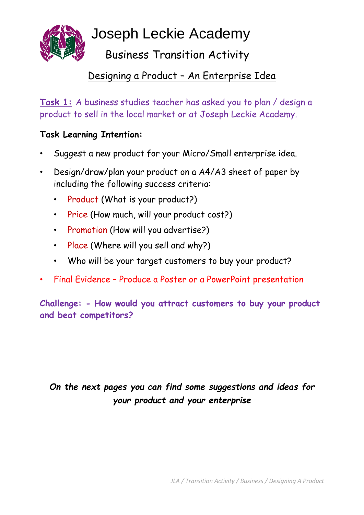

Joseph Leckie Academy

Business Transition Activity

### Designing a Product – An Enterprise Idea

**Task 1:** A business studies teacher has asked you to plan / design a product to sell in the local market or at Joseph Leckie Academy.

### **Task Learning Intention:**

- Suggest a new product for your Micro/Small enterprise idea.
- Design/draw/plan your product on a A4/A3 sheet of paper by including the following success criteria:
	- Product (What is your product?)
	- Price (How much, will your product cost?)
	- Promotion (How will you advertise?)
	- Place (Where will you sell and why?)
	- Who will be your target customers to buy your product?
- Final Evidence Produce a Poster or a PowerPoint presentation

**Challenge: - How would you attract customers to buy your product and beat competitors?**

## *On the next pages you can find some suggestions and ideas for your product and your enterprise*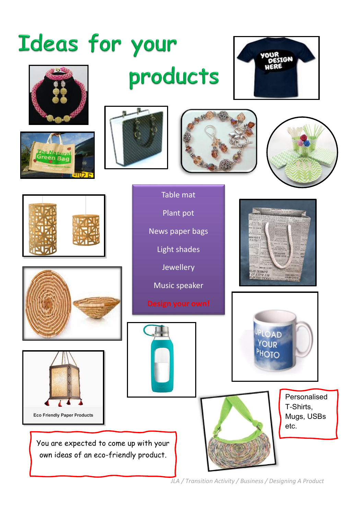# Ideas for your











Table mat

products

Plant pot

News paper bags

Light shades

Jewellery

Music speaker











SHENNYA<br>ATTYH LOB<br>TTOO SYOOL



Personalised T-Shirts, Mugs, USBs etc.

*JLA / Transition Activity / Business / Designing A Product*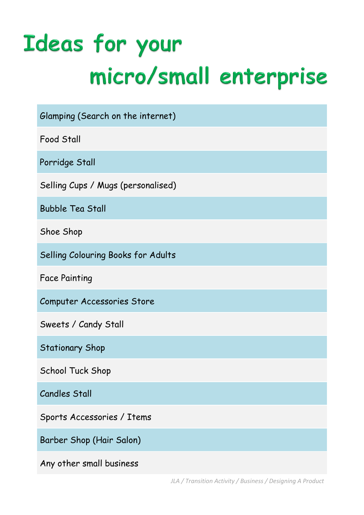# Ideas for your micro/small enterprise

| Glamping (Search on the internet)  |
|------------------------------------|
| <b>Food Stall</b>                  |
| Porridge Stall                     |
| Selling Cups / Mugs (personalised) |
| <b>Bubble Tea Stall</b>            |
| Shoe Shop                          |
| Selling Colouring Books for Adults |
| <b>Face Painting</b>               |
| Computer Accessories Store         |
| Sweets / Candy Stall               |
| <b>Stationary Shop</b>             |
| School Tuck Shop                   |
| <b>Candles Stall</b>               |
| Sports Accessories / Items         |
| Barber Shop (Hair Salon)           |
| Any other small business           |